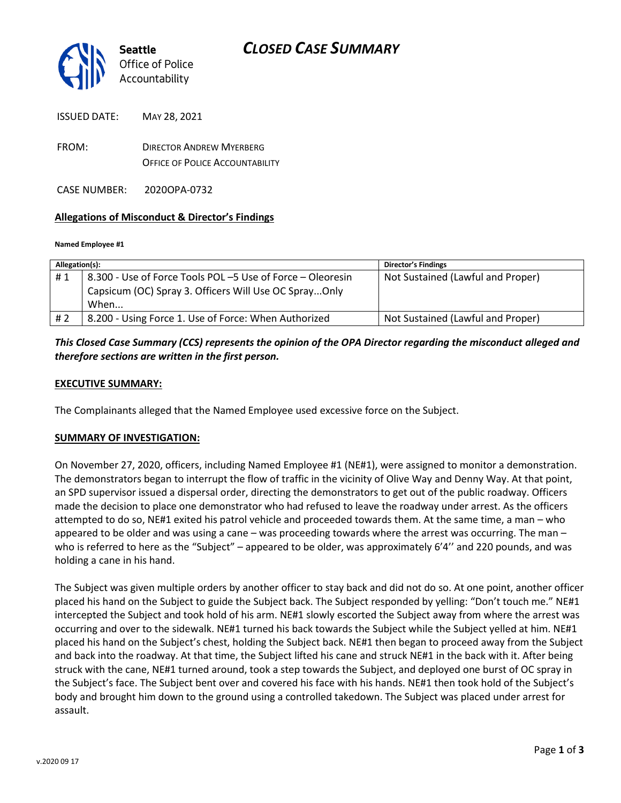

ISSUED DATE: MAY 28, 2021

FROM: DIRECTOR ANDREW MYERBERG OFFICE OF POLICE ACCOUNTABILITY

CASE NUMBER: 2020OPA-0732

### **Allegations of Misconduct & Director's Findings**

**Named Employee #1**

| Allegation(s): |                                                            | <b>Director's Findings</b>        |
|----------------|------------------------------------------------------------|-----------------------------------|
| #1             | 8.300 - Use of Force Tools POL -5 Use of Force - Oleoresin | Not Sustained (Lawful and Proper) |
|                | Capsicum (OC) Spray 3. Officers Will Use OC SprayOnly      |                                   |
|                | When                                                       |                                   |
| # 2            | 8.200 - Using Force 1. Use of Force: When Authorized       | Not Sustained (Lawful and Proper) |

## *This Closed Case Summary (CCS) represents the opinion of the OPA Director regarding the misconduct alleged and therefore sections are written in the first person.*

### **EXECUTIVE SUMMARY:**

The Complainants alleged that the Named Employee used excessive force on the Subject.

### **SUMMARY OF INVESTIGATION:**

On November 27, 2020, officers, including Named Employee #1 (NE#1), were assigned to monitor a demonstration. The demonstrators began to interrupt the flow of traffic in the vicinity of Olive Way and Denny Way. At that point, an SPD supervisor issued a dispersal order, directing the demonstrators to get out of the public roadway. Officers made the decision to place one demonstrator who had refused to leave the roadway under arrest. As the officers attempted to do so, NE#1 exited his patrol vehicle and proceeded towards them. At the same time, a man – who appeared to be older and was using a cane – was proceeding towards where the arrest was occurring. The man – who is referred to here as the "Subject" – appeared to be older, was approximately 6'4" and 220 pounds, and was holding a cane in his hand.

The Subject was given multiple orders by another officer to stay back and did not do so. At one point, another officer placed his hand on the Subject to guide the Subject back. The Subject responded by yelling: "Don't touch me." NE#1 intercepted the Subject and took hold of his arm. NE#1 slowly escorted the Subject away from where the arrest was occurring and over to the sidewalk. NE#1 turned his back towards the Subject while the Subject yelled at him. NE#1 placed his hand on the Subject's chest, holding the Subject back. NE#1 then began to proceed away from the Subject and back into the roadway. At that time, the Subject lifted his cane and struck NE#1 in the back with it. After being struck with the cane, NE#1 turned around, took a step towards the Subject, and deployed one burst of OC spray in the Subject's face. The Subject bent over and covered his face with his hands. NE#1 then took hold of the Subject's body and brought him down to the ground using a controlled takedown. The Subject was placed under arrest for assault.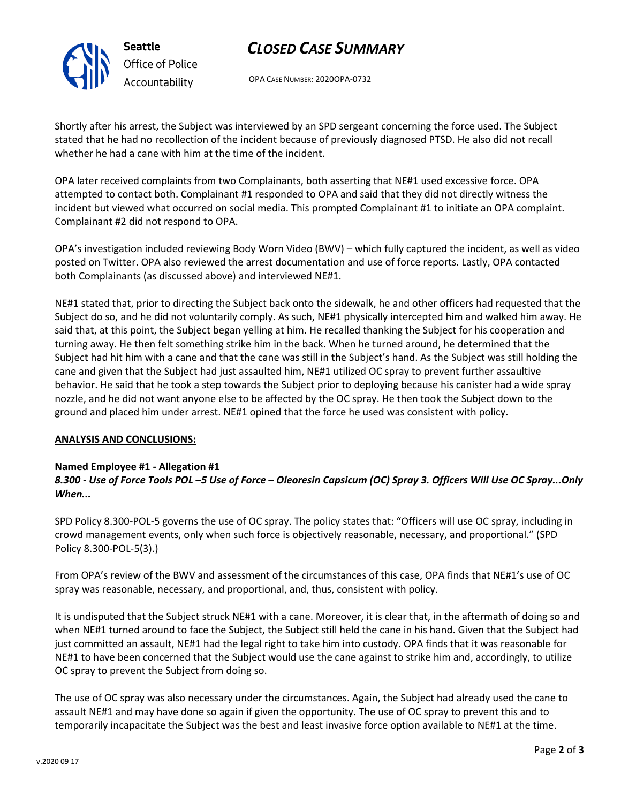# *CLOSED CASE SUMMARY*

OPA CASE NUMBER: 2020OPA-0732

Shortly after his arrest, the Subject was interviewed by an SPD sergeant concerning the force used. The Subject stated that he had no recollection of the incident because of previously diagnosed PTSD. He also did not recall whether he had a cane with him at the time of the incident.

OPA later received complaints from two Complainants, both asserting that NE#1 used excessive force. OPA attempted to contact both. Complainant #1 responded to OPA and said that they did not directly witness the incident but viewed what occurred on social media. This prompted Complainant #1 to initiate an OPA complaint. Complainant #2 did not respond to OPA.

OPA's investigation included reviewing Body Worn Video (BWV) – which fully captured the incident, as well as video posted on Twitter. OPA also reviewed the arrest documentation and use of force reports. Lastly, OPA contacted both Complainants (as discussed above) and interviewed NE#1.

NE#1 stated that, prior to directing the Subject back onto the sidewalk, he and other officers had requested that the Subject do so, and he did not voluntarily comply. As such, NE#1 physically intercepted him and walked him away. He said that, at this point, the Subject began yelling at him. He recalled thanking the Subject for his cooperation and turning away. He then felt something strike him in the back. When he turned around, he determined that the Subject had hit him with a cane and that the cane was still in the Subject's hand. As the Subject was still holding the cane and given that the Subject had just assaulted him, NE#1 utilized OC spray to prevent further assaultive behavior. He said that he took a step towards the Subject prior to deploying because his canister had a wide spray nozzle, and he did not want anyone else to be affected by the OC spray. He then took the Subject down to the ground and placed him under arrest. NE#1 opined that the force he used was consistent with policy.

### **ANALYSIS AND CONCLUSIONS:**

### **Named Employee #1 - Allegation #1**

*8.300 - Use of Force Tools POL –5 Use of Force – Oleoresin Capsicum (OC) Spray 3. Officers Will Use OC Spray...Only When...*

SPD Policy 8.300-POL-5 governs the use of OC spray. The policy states that: "Officers will use OC spray, including in crowd management events, only when such force is objectively reasonable, necessary, and proportional." (SPD Policy 8.300-POL-5(3).)

From OPA's review of the BWV and assessment of the circumstances of this case, OPA finds that NE#1's use of OC spray was reasonable, necessary, and proportional, and, thus, consistent with policy.

It is undisputed that the Subject struck NE#1 with a cane. Moreover, it is clear that, in the aftermath of doing so and when NE#1 turned around to face the Subject, the Subject still held the cane in his hand. Given that the Subject had just committed an assault, NE#1 had the legal right to take him into custody. OPA finds that it was reasonable for NE#1 to have been concerned that the Subject would use the cane against to strike him and, accordingly, to utilize OC spray to prevent the Subject from doing so.

The use of OC spray was also necessary under the circumstances. Again, the Subject had already used the cane to assault NE#1 and may have done so again if given the opportunity. The use of OC spray to prevent this and to temporarily incapacitate the Subject was the best and least invasive force option available to NE#1 at the time.



**Seattle** *Office of Police Accountability*